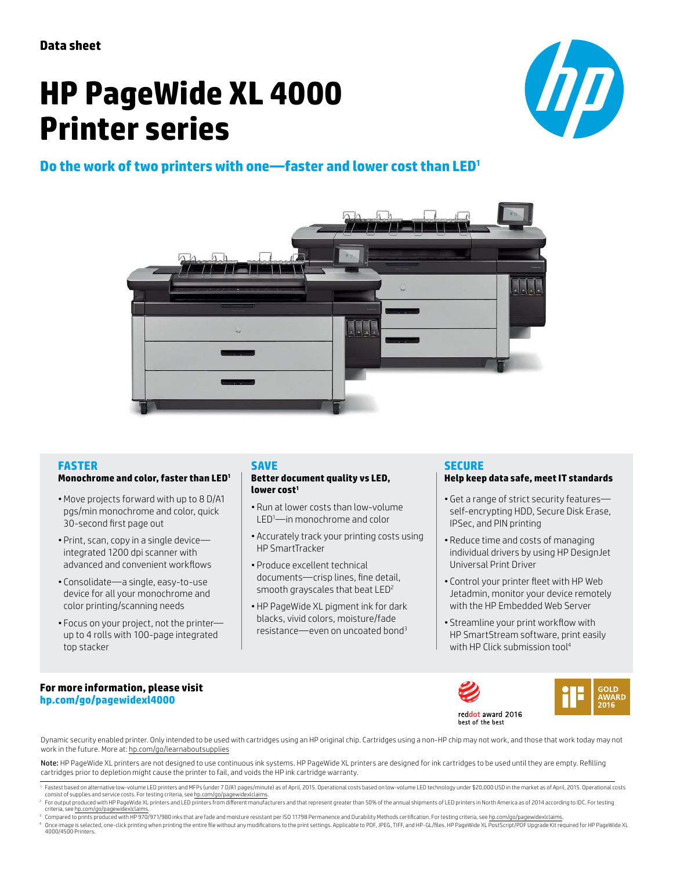# **HP PageWide XL 4000 Printer series**



## **Do the work of two printers with one—faster and lower cost than LED<sup>1</sup>**



## **FASTER**

## **Monochrome and color, faster than LED<sup>1</sup>**

- Move projects forward with up to 8 D/A1 pgs/min monochrome and color, quick 30-second first page out
- Print, scan, copy in a single device integrated 1200 dpi scanner with advanced and convenient workflows
- Consolidate—a single, easy-to-use device for all your monochrome and color printing/scanning needs
- Focus on your project, not the printer up to 4 rolls with 100-page integrated top stacker

## **SAVE**

#### **Better document quality vs LED, lower cost<sup>1</sup>**

- Run at lower costs than low-volume LED1—in monochrome and color
- Accurately track your printing costs using HP SmartTracker
- Produce excellent technical documents—crisp lines, fine detail, smooth grayscales that beat LED<sup>2</sup>
- HP PageWide XL pigment ink for dark blacks, vivid colors, moisture/fade resistance—even on uncoated bond<sup>3</sup>

## **SECURE**

#### **Help keep data safe, meet IT standards**

- Get a range of strict security features self-encrypting HDD, Secure Disk Erase, IPSec, and PIN printing
- Reduce time and costs of managing individual drivers by using HP DesignJet Universal Print Driver
- Control your printer fleet with HP Web Jetadmin, monitor your device remotely with the HP Embedded Web Server
- Streamline your print workflow with HP SmartStream software, print easily with HP Click submission tool<sup>4</sup>

#### **For more information, please visit [hp.com/go/pagewidexl4000](http://hp.com/go/pagewidexl4000)**





Dynamic security enabled printer. Only intended to be used with cartridges using an HP original chip. Cartridges using a non-HP chip may not work, and those that work today may not work in the future. More at: [hp.com/go/learnaboutsupplies](http://hp.com/go/learnaboutsupplies)

Note: HP PageWide XL printers are not designed to use continuous ink systems. HP PageWide XL printers are designed for ink cartridges to be used until they are empty. Refilling cartridges prior to depletion might cause the printer to fail, and voids the HP ink cartridge warranty.

<sup>1</sup> Fastest based on alternative low-volume LED printers and MFPs (under 7 D/A1 pages/minute) as of April, 2015. Operational costs based on low-volume LED technology under \$20,000 USD in the market as of April, 2015. Opera

- <sup>2</sup> For output produced with HP PageWide XL printers and LED printers from different manufacturers and that represent greater than 50% of the annual shipments of LED printers in North America as of 2014 according to IDC. F
- <sup>3</sup> Compared to prints produced with HP 970/971/980 inks that are fade and moisture resistant per ISO 11798 Permanence and Durability Methods certification. For testing criteria, see [hp.com/go/pagewidexlclaims.](http://hp.com/go/pagewidexlclaims)

4 Once image is selected, one-click printing when printing the entire file without any modifications to the print settings. Applicable to PDF, JPEG, TIFF, and HP-GL/files. HP PageWide XL PostScript/PDF Upgrade Kit required 4000/4500 Printers.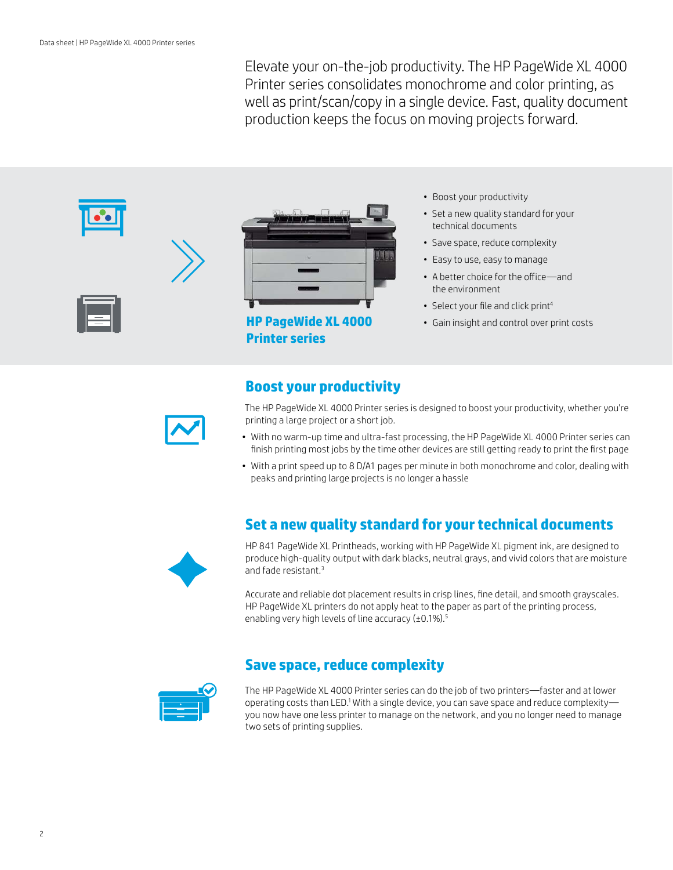Elevate your on-the-job productivity. The HP PageWide XL 4000 Printer series consolidates monochrome and color printing, as well as print/scan/copy in a single device. Fast, quality document production keeps the focus on moving projects forward.





**Printer series**

- Boost your productivity
- Set a new quality standard for your technical documents
- Save space, reduce complexity
- Easy to use, easy to manage
- A better choice for the office—and the environment
- Select your file and click print<sup>4</sup>
- Gain insight and control over print costs

## **Boost your productivity**



The HP PageWide XL 4000 Printer series is designed to boost your productivity, whether you're printing a large project or a short job.

- With no warm-up time and ultra-fast processing, the HP PageWide XL 4000 Printer series can finish printing most jobs by the time other devices are still getting ready to print the first page
- With a print speed up to 8 D/A1 pages per minute in both monochrome and color, dealing with peaks and printing large projects is no longer a hassle

## **Set a new quality standard for your technical documents**



HP 841 PageWide XL Printheads, working with HP PageWide XL pigment ink, are designed to produce high-quality output with dark blacks, neutral grays, and vivid colors that are moisture and fade resistant.<sup>3</sup>

Accurate and reliable dot placement results in crisp lines, fine detail, and smooth grayscales. HP PageWide XL printers do not apply heat to the paper as part of the printing process, enabling very high levels of line accuracy (±0.1%).<sup>5</sup>

## **Save space, reduce complexity**



The HP PageWide XL 4000 Printer series can do the job of two printers—faster and at lower operating costs than LED.1 With a single device, you can save space and reduce complexity you now have one less printer to manage on the network, and you no longer need to manage two sets of printing supplies.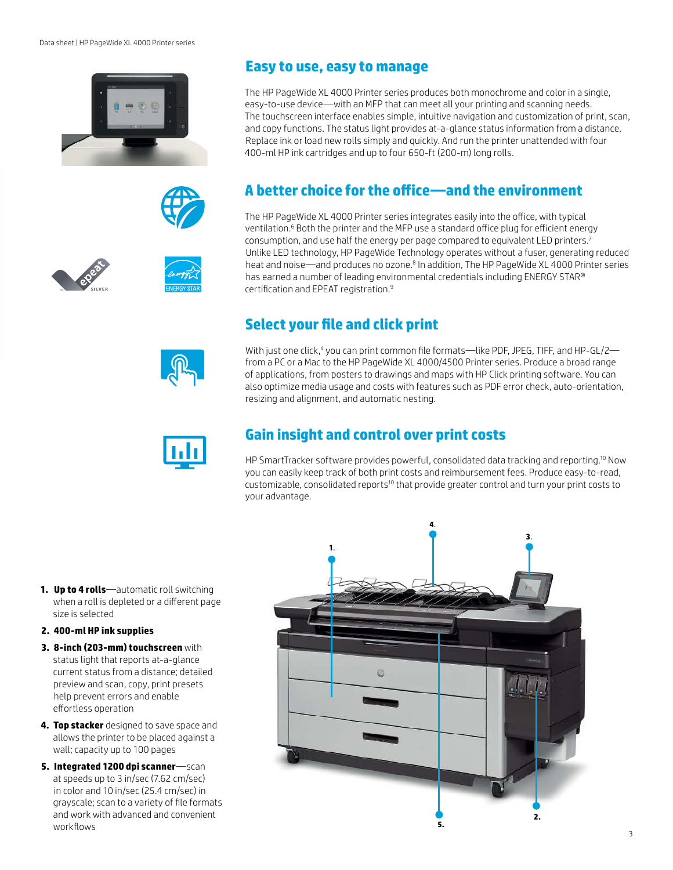









The HP PageWide XL 4000 Printer series produces both monochrome and color in a single, easy-to-use device—with an MFP that can meet all your printing and scanning needs. The touchscreen interface enables simple, intuitive navigation and customization of print, scan, and copy functions. The status light provides at-a-glance status information from a distance. Replace ink or load new rolls simply and quickly. And run the printer unattended with four 400-ml HP ink cartridges and up to four 650-ft (200-m) long rolls.

# **A better choice for the office—and the environment**

The HP PageWide XL 4000 Printer series integrates easily into the office, with typical ventilation.<sup>6</sup> Both the printer and the MFP use a standard office plug for efficient energy consumption, and use half the energy per page compared to equivalent LED printers.<sup>7</sup> Unlike LED technology, HP PageWide Technology operates without a fuser, generating reduced heat and noise—and produces no ozone.<sup>8</sup> In addition, The HP PageWide XL 4000 Printer series has earned a number of leading environmental credentials including ENERGY STAR® certification and EPEAT registration.<sup>9</sup>

# **Select your file and click print**

With just one click,4 you can print common file formats—like PDF, JPEG, TIFF, and HP-GL/2 from a PC or a Mac to the HP PageWide XL 4000/4500 Printer series. Produce a broad range of applications, from posters to drawings and maps with HP Click printing software. You can also optimize media usage and costs with features such as PDF error check, auto-orientation, resizing and alignment, and automatic nesting.



# **Gain insight and control over print costs**

HP SmartTracker software provides powerful, consolidated data tracking and reporting.10 Now you can easily keep track of both print costs and reimbursement fees. Produce easy-to-read, customizable, consolidated reports<sup>10</sup> that provide greater control and turn your print costs to your advantage.

**1. Up to 4 rolls**—automatic roll switching when a roll is depleted or a different page size is selected

## **2. 400-ml HP ink supplies**

- **3. 8-inch (203-mm) touchscreen** with status light that reports at-a-glance current status from a distance; detailed preview and scan, copy, print presets help prevent errors and enable effortless operation
- **4. Top stacker** designed to save space and allows the printer to be placed against a wall; capacity up to 100 pages
- **5. Integrated 1200 dpi scanner**—scan at speeds up to 3 in/sec (7.62 cm/sec) in color and 10 in/sec (25.4 cm/sec) in grayscale; scan to a variety of file formats and work with advanced and convenient workflows